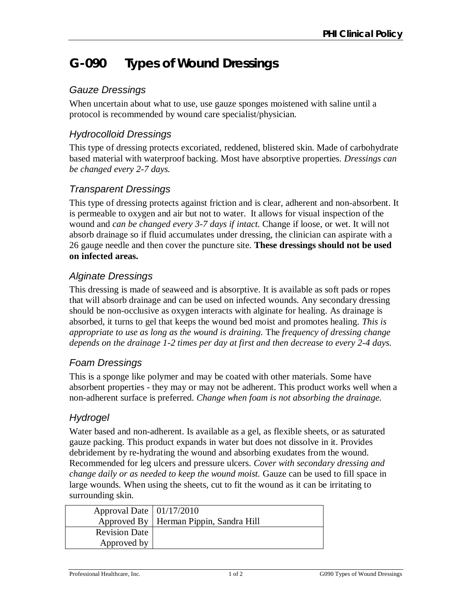# **G-090 Types of Wound Dressings**

# *Gauze Dressings*

When uncertain about what to use, use gauze sponges moistened with saline until a protocol is recommended by wound care specialist/physician.

#### *Hydrocolloid Dressings*

This type of dressing protects excoriated, reddened, blistered skin. Made of carbohydrate based material with waterproof backing. Most have absorptive properties. *Dressings can be changed every 2-7 days.* 

#### *Transparent Dressings*

This type of dressing protects against friction and is clear, adherent and non-absorbent. It is permeable to oxygen and air but not to water. It allows for visual inspection of the wound and *can be changed every 3-7 days if intact*. Change if loose, or wet. It will not absorb drainage so if fluid accumulates under dressing, the clinician can aspirate with a 26 gauge needle and then cover the puncture site. **These dressings should not be used on infected areas.**

# *Alginate Dressings*

This dressing is made of seaweed and is absorptive. It is available as soft pads or ropes that will absorb drainage and can be used on infected wounds. Any secondary dressing should be non-occlusive as oxygen interacts with alginate for healing. As drainage is absorbed, it turns to gel that keeps the wound bed moist and promotes healing. *This is appropriate to use as long as the wound is draining.* The *frequency of dressing change depends on the drainage 1-2 times per day at first and then decrease to every 2-4 days.* 

# *Foam Dressings*

This is a sponge like polymer and may be coated with other materials. Some have absorbent properties - they may or may not be adherent. This product works well when a non-adherent surface is preferred. *Change when foam is not absorbing the drainage.* 

# *Hydrogel*

Water based and non-adherent. Is available as a gel, as flexible sheets, or as saturated gauze packing. This product expands in water but does not dissolve in it. Provides debridement by re-hydrating the wound and absorbing exudates from the wound. Recommended for leg ulcers and pressure ulcers. *Cover with secondary dressing and change daily or as needed to keep the wound moist.* Gauze can be used to fill space in large wounds. When using the sheets, cut to fit the wound as it can be irritating to surrounding skin.

| Approval Date $\vert 01/17/2010 \vert$ |                                          |
|----------------------------------------|------------------------------------------|
|                                        | Approved By   Herman Pippin, Sandra Hill |
| <b>Revision Date</b>                   |                                          |
| Approved by                            |                                          |